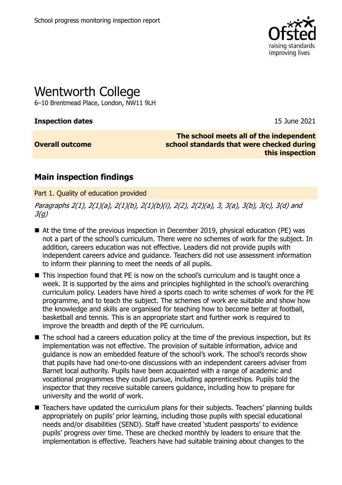

# Wentworth College

6–10 Brentmead Place, London, NW11 9LH

**Inspection dates** 15 June 2021

**Overall outcome**

**The school meets all of the independent school standards that were checked during this inspection**

## **Main inspection findings**

Part 1. Quality of education provided

Paragraphs 2(1), 2(1)(a), 2(1)(b), 2(1)(b)(i), 2(2), 2(2)(a), 3, 3(a), 3(b), 3(c), 3(d) and  $3(a)$ 

- At the time of the previous inspection in December 2019, physical education (PE) was not a part of the school's curriculum. There were no schemes of work for the subject. In addition, careers education was not effective. Leaders did not provide pupils with independent careers advice and guidance. Teachers did not use assessment information to inform their planning to meet the needs of all pupils.
- This inspection found that PE is now on the school's curriculum and is taught once a week. It is supported by the aims and principles highlighted in the school's overarching curriculum policy. Leaders have hired a sports coach to write schemes of work for the PE programme, and to teach the subject. The schemes of work are suitable and show how the knowledge and skills are organised for teaching how to become better at football, basketball and tennis. This is an appropriate start and further work is required to improve the breadth and depth of the PE curriculum.
- The school had a careers education policy at the time of the previous inspection, but its implementation was not effective. The provision of suitable information, advice and guidance is now an embedded feature of the school's work. The school's records show that pupils have had one-to-one discussions with an independent careers adviser from Barnet local authority. Pupils have been acquainted with a range of academic and vocational programmes they could pursue, including apprenticeships. Pupils told the inspector that they receive suitable careers guidance, including how to prepare for university and the world of work.
- Teachers have updated the curriculum plans for their subjects. Teachers' planning builds appropriately on pupils' prior learning, including those pupils with special educational needs and/or disabilities (SEND). Staff have created 'student passports' to evidence pupils' progress over time. These are checked monthly by leaders to ensure that the implementation is effective. Teachers have had suitable training about changes to the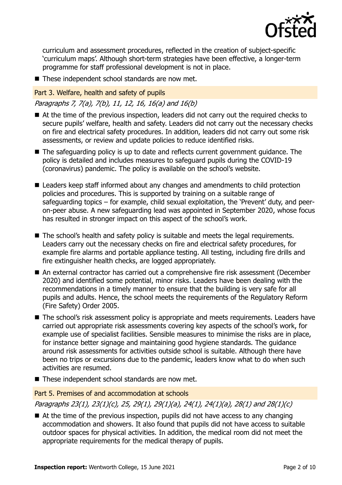

curriculum and assessment procedures, reflected in the creation of subject-specific 'curriculum maps'. Although short-term strategies have been effective, a longer-term programme for staff professional development is not in place.

■ These independent school standards are now met.

#### Part 3. Welfare, health and safety of pupils

Paragraphs 7, 7(a), 7(b), 11, 12, 16, 16(a) and 16(b)

- At the time of the previous inspection, leaders did not carry out the required checks to secure pupils' welfare, health and safety. Leaders did not carry out the necessary checks on fire and electrical safety procedures. In addition, leaders did not carry out some risk assessments, or review and update policies to reduce identified risks.
- The safeguarding policy is up to date and reflects current government guidance. The policy is detailed and includes measures to safeguard pupils during the COVID-19 (coronavirus) pandemic. The policy is available on the school's website.
- Leaders keep staff informed about any changes and amendments to child protection policies and procedures. This is supported by training on a suitable range of safeguarding topics – for example, child sexual exploitation, the 'Prevent' duty, and peeron-peer abuse. A new safeguarding lead was appointed in September 2020, whose focus has resulted in stronger impact on this aspect of the school's work.
- The school's health and safety policy is suitable and meets the legal requirements. Leaders carry out the necessary checks on fire and electrical safety procedures, for example fire alarms and portable appliance testing. All testing, including fire drills and fire extinguisher health checks, are logged appropriately.
- An external contractor has carried out a comprehensive fire risk assessment (December 2020) and identified some potential, minor risks. Leaders have been dealing with the recommendations in a timely manner to ensure that the building is very safe for all pupils and adults. Hence, the school meets the requirements of the Regulatory Reform (Fire Safety) Order 2005.
- The school's risk assessment policy is appropriate and meets requirements. Leaders have carried out appropriate risk assessments covering key aspects of the school's work, for example use of specialist facilities. Sensible measures to minimise the risks are in place, for instance better signage and maintaining good hygiene standards. The guidance around risk assessments for activities outside school is suitable. Although there have been no trips or excursions due to the pandemic, leaders know what to do when such activities are resumed.
- These independent school standards are now met.

#### Part 5. Premises of and accommodation at schools

Paragraphs 23(1), 23(1)(c), 25, 29(1), 29(1)(a), 24(1), 24(1)(a), 28(1) and 28(1)(c)

 $\blacksquare$  At the time of the previous inspection, pupils did not have access to any changing accommodation and showers. It also found that pupils did not have access to suitable outdoor spaces for physical activities. In addition, the medical room did not meet the appropriate requirements for the medical therapy of pupils.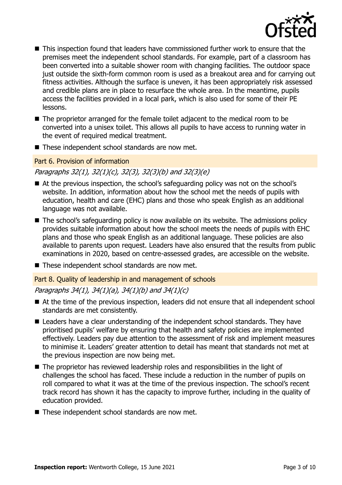

- This inspection found that leaders have commissioned further work to ensure that the premises meet the independent school standards. For example, part of a classroom has been converted into a suitable shower room with changing facilities. The outdoor space just outside the sixth-form common room is used as a breakout area and for carrying out fitness activities. Although the surface is uneven, it has been appropriately risk assessed and credible plans are in place to resurface the whole area. In the meantime, pupils access the facilities provided in a local park, which is also used for some of their PE lessons.
- The proprietor arranged for the female toilet adjacent to the medical room to be converted into a unisex toilet. This allows all pupils to have access to running water in the event of required medical treatment.
- These independent school standards are now met.

#### Part 6. Provision of information

#### Paragraphs 32(1), 32(1)(c), 32(3), 32(3)(b) and 32(3)(e)

- At the previous inspection, the school's safeguarding policy was not on the school's website. In addition, information about how the school met the needs of pupils with education, health and care (EHC) plans and those who speak English as an additional language was not available.
- The school's safeguarding policy is now available on its website. The admissions policy provides suitable information about how the school meets the needs of pupils with EHC plans and those who speak English as an additional language. These policies are also available to parents upon request. Leaders have also ensured that the results from public examinations in 2020, based on centre-assessed grades, are accessible on the website.
- These independent school standards are now met.

#### Part 8. Quality of leadership in and management of schools

#### Paragraphs 34(1), 34(1)(a), 34(1)(b) and 34(1)(c)

- At the time of the previous inspection, leaders did not ensure that all independent school standards are met consistently.
- Leaders have a clear understanding of the independent school standards. They have prioritised pupils' welfare by ensuring that health and safety policies are implemented effectively. Leaders pay due attention to the assessment of risk and implement measures to minimise it. Leaders' greater attention to detail has meant that standards not met at the previous inspection are now being met.
- The proprietor has reviewed leadership roles and responsibilities in the light of challenges the school has faced. These include a reduction in the number of pupils on roll compared to what it was at the time of the previous inspection. The school's recent track record has shown it has the capacity to improve further, including in the quality of education provided.
- These independent school standards are now met.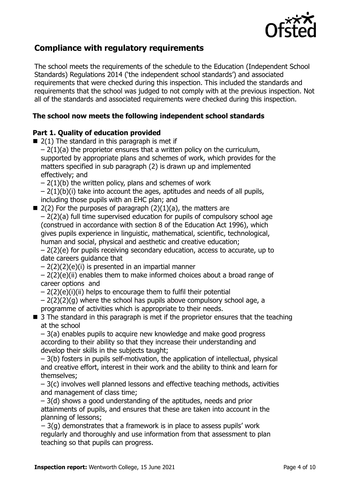

## **Compliance with regulatory requirements**

The school meets the requirements of the schedule to the Education (Independent School Standards) Regulations 2014 ('the independent school standards') and associated requirements that were checked during this inspection. This included the standards and requirements that the school was judged to not comply with at the previous inspection. Not all of the standards and associated requirements were checked during this inspection.

## **The school now meets the following independent school standards**

#### **Part 1. Quality of education provided**

- $\blacksquare$  2(1) The standard in this paragraph is met if  $-2(1)(a)$  the proprietor ensures that a written policy on the curriculum, supported by appropriate plans and schemes of work, which provides for the matters specified in sub paragraph (2) is drawn up and implemented effectively; and
	- $-2(1)(b)$  the written policy, plans and schemes of work
	- $-2(1)(b)(i)$  take into account the ages, aptitudes and needs of all pupils, including those pupils with an EHC plan; and
- $\blacksquare$  2(2) For the purposes of paragraph (2)(1)(a), the matters are  $-2(2)(a)$  full time supervised education for pupils of compulsory school age (construed in accordance with section 8 of the Education Act 1996), which gives pupils experience in linguistic, mathematical, scientific, technological, human and social, physical and aesthetic and creative education;

 $-2(2)$ (e) for pupils receiving secondary education, access to accurate, up to date careers guidance that

– 2(2)(2)(e)(i) is presented in an impartial manner

 $-2(2)(e)(ii)$  enables them to make informed choices about a broad range of career options and

- $-2(2)(e)(i)(ii)$  helps to encourage them to fulfil their potential
- $-2(2)(2)(q)$  where the school has pupils above compulsory school age, a programme of activities which is appropriate to their needs.
- 3 The standard in this paragraph is met if the proprietor ensures that the teaching at the school

– 3(a) enables pupils to acquire new knowledge and make good progress according to their ability so that they increase their understanding and develop their skills in the subjects taught;

– 3(b) fosters in pupils self-motivation, the application of intellectual, physical and creative effort, interest in their work and the ability to think and learn for themselves;

– 3(c) involves well planned lessons and effective teaching methods, activities and management of class time;

– 3(d) shows a good understanding of the aptitudes, needs and prior attainments of pupils, and ensures that these are taken into account in the planning of lessons;

 $-3(q)$  demonstrates that a framework is in place to assess pupils' work regularly and thoroughly and use information from that assessment to plan teaching so that pupils can progress.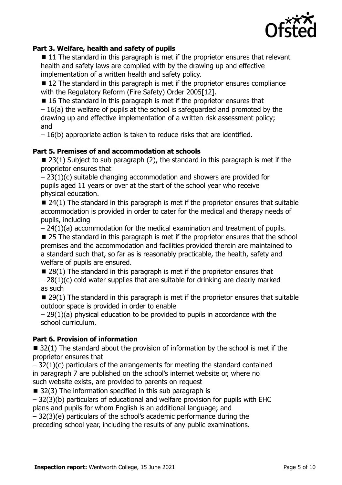

## **Part 3. Welfare, health and safety of pupils**

■ 11 The standard in this paragraph is met if the proprietor ensures that relevant health and safety laws are complied with by the drawing up and effective implementation of a written health and safety policy.

■ 12 The standard in this paragraph is met if the proprietor ensures compliance with the Regulatory Reform (Fire Safety) Order 2005[12].

 $\blacksquare$  16 The standard in this paragraph is met if the proprietor ensures that

– 16(a) the welfare of pupils at the school is safeguarded and promoted by the drawing up and effective implementation of a written risk assessment policy; and

– 16(b) appropriate action is taken to reduce risks that are identified.

#### **Part 5. Premises of and accommodation at schools**

 $\blacksquare$  23(1) Subject to sub paragraph (2), the standard in this paragraph is met if the proprietor ensures that

– 23(1)(c) suitable changing accommodation and showers are provided for pupils aged 11 years or over at the start of the school year who receive physical education.

 $\blacksquare$  24(1) The standard in this paragraph is met if the proprietor ensures that suitable accommodation is provided in order to cater for the medical and therapy needs of pupils, including

 $-24(1)(a)$  accommodation for the medical examination and treatment of pupils.

■ 25 The standard in this paragraph is met if the proprietor ensures that the school premises and the accommodation and facilities provided therein are maintained to a standard such that, so far as is reasonably practicable, the health, safety and welfare of pupils are ensured.

 $\blacksquare$  28(1) The standard in this paragraph is met if the proprietor ensures that

 $-28(1)(c)$  cold water supplies that are suitable for drinking are clearly marked as such

 $\blacksquare$  29(1) The standard in this paragraph is met if the proprietor ensures that suitable outdoor space is provided in order to enable

 $-29(1)(a)$  physical education to be provided to pupils in accordance with the school curriculum.

#### **Part 6. Provision of information**

 $\blacksquare$  32(1) The standard about the provision of information by the school is met if the proprietor ensures that

 $-32(1)(c)$  particulars of the arrangements for meeting the standard contained in paragraph 7 are published on the school's internet website or, where no such website exists, are provided to parents on request

 $\blacksquare$  32(3) The information specified in this sub paragraph is

– 32(3)(b) particulars of educational and welfare provision for pupils with EHC plans and pupils for whom English is an additional language; and

– 32(3)(e) particulars of the school's academic performance during the

preceding school year, including the results of any public examinations.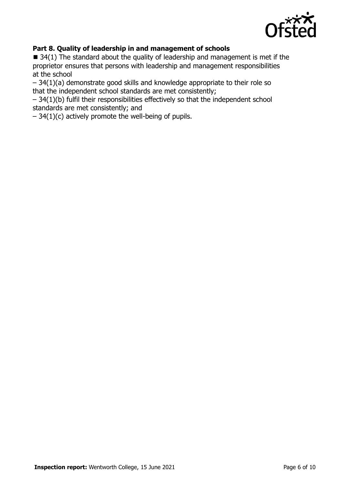

## **Part 8. Quality of leadership in and management of schools**

■ 34(1) The standard about the quality of leadership and management is met if the proprietor ensures that persons with leadership and management responsibilities at the school

– 34(1)(a) demonstrate good skills and knowledge appropriate to their role so that the independent school standards are met consistently;

– 34(1)(b) fulfil their responsibilities effectively so that the independent school standards are met consistently; and

 $-34(1)(c)$  actively promote the well-being of pupils.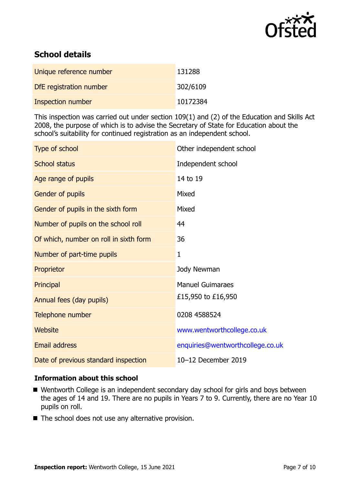

# **School details**

| Unique reference number  | 131288   |
|--------------------------|----------|
| DfE registration number  | 302/6109 |
| <b>Inspection number</b> | 10172384 |

This inspection was carried out under section 109(1) and (2) of the Education and Skills Act 2008, the purpose of which is to advise the Secretary of State for Education about the school's suitability for continued registration as an independent school.

| Type of school                         | Other independent school         |
|----------------------------------------|----------------------------------|
| <b>School status</b>                   | Independent school               |
| Age range of pupils                    | 14 to 19                         |
| Gender of pupils                       | Mixed                            |
| Gender of pupils in the sixth form     | Mixed                            |
| Number of pupils on the school roll    | 44                               |
| Of which, number on roll in sixth form | 36                               |
| Number of part-time pupils             | 1                                |
| Proprietor                             | Jody Newman                      |
| Principal                              | <b>Manuel Guimaraes</b>          |
| Annual fees (day pupils)               | £15,950 to £16,950               |
| Telephone number                       | 0208 4588524                     |
| <b>Website</b>                         | www.wentworthcollege.co.uk       |
| <b>Email address</b>                   | enquiries@wentworthcollege.co.uk |
| Date of previous standard inspection   | 10-12 December 2019              |

#### **Information about this school**

- Wentworth College is an independent secondary day school for girls and boys between the ages of 14 and 19. There are no pupils in Years 7 to 9. Currently, there are no Year 10 pupils on roll.
- The school does not use any alternative provision.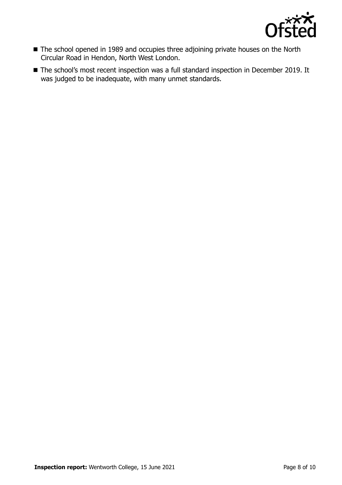

- The school opened in 1989 and occupies three adjoining private houses on the North Circular Road in Hendon, North West London.
- The school's most recent inspection was a full standard inspection in December 2019. It was judged to be inadequate, with many unmet standards.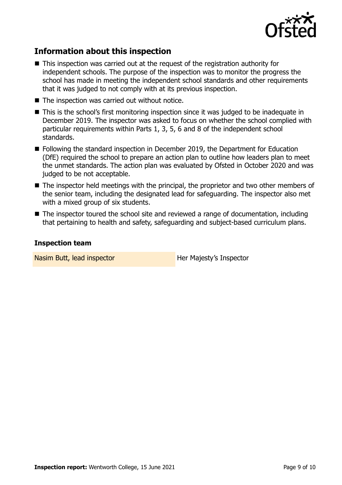

## **Information about this inspection**

- This inspection was carried out at the request of the registration authority for independent schools. The purpose of the inspection was to monitor the progress the school has made in meeting the independent school standards and other requirements that it was judged to not comply with at its previous inspection.
- The inspection was carried out without notice.
- This is the school's first monitoring inspection since it was judged to be inadequate in December 2019. The inspector was asked to focus on whether the school complied with particular requirements within Parts 1, 3, 5, 6 and 8 of the independent school standards.
- Following the standard inspection in December 2019, the Department for Education (DfE) required the school to prepare an action plan to outline how leaders plan to meet the unmet standards. The action plan was evaluated by Ofsted in October 2020 and was judged to be not acceptable.
- The inspector held meetings with the principal, the proprietor and two other members of the senior team, including the designated lead for safeguarding. The inspector also met with a mixed group of six students.
- The inspector toured the school site and reviewed a range of documentation, including that pertaining to health and safety, safeguarding and subject-based curriculum plans.

#### **Inspection team**

Nasim Butt, lead inspector **Her Majesty's Inspector**